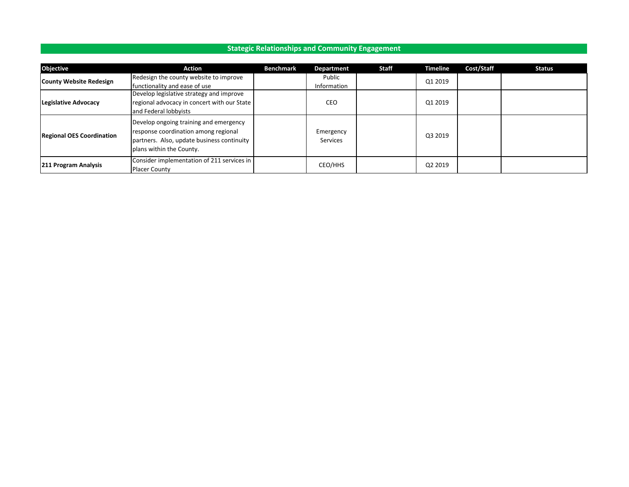## **Stategic Relationships and Community Engagement**

| <b>Objective</b>                 | Action                                                                                                                                                   | <b>Benchmark</b> | Department                   | <b>Staff</b> | <b>Timeline</b> | Cost/Staff | <b>Status</b> |
|----------------------------------|----------------------------------------------------------------------------------------------------------------------------------------------------------|------------------|------------------------------|--------------|-----------------|------------|---------------|
|                                  | Redesign the county website to improve                                                                                                                   |                  | Public                       |              | Q1 2019         |            |               |
| <b>County Website Redesign</b>   | functionality and ease of use                                                                                                                            |                  | Information                  |              |                 |            |               |
|                                  | Develop legislative strategy and improve                                                                                                                 |                  |                              |              |                 |            |               |
| Legislative Advocacy             | regional advocacy in concert with our State                                                                                                              |                  | <b>CEO</b>                   |              | Q1 2019         |            |               |
|                                  | and Federal lobbyists                                                                                                                                    |                  |                              |              |                 |            |               |
| <b>Regional OES Coordination</b> | Develop ongoing training and emergency<br>response coordination among regional<br>partners. Also, update business continuity<br>plans within the County. |                  | Emergency<br><b>Services</b> |              | Q3 2019         |            |               |
| 211 Program Analysis             | Consider implementation of 211 services in<br><b>Placer County</b>                                                                                       |                  | CEO/HHS                      |              | Q2 2019         |            |               |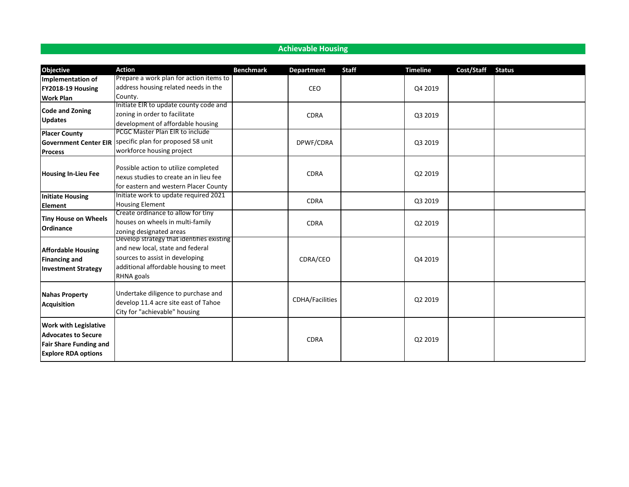| <b>Achievable Housing</b>                                                                                                 |                                                                                                                                                                         |                  |                        |              |                 |            |               |  |  |  |  |
|---------------------------------------------------------------------------------------------------------------------------|-------------------------------------------------------------------------------------------------------------------------------------------------------------------------|------------------|------------------------|--------------|-----------------|------------|---------------|--|--|--|--|
|                                                                                                                           |                                                                                                                                                                         |                  |                        |              |                 |            |               |  |  |  |  |
| Objective                                                                                                                 | <b>Action</b>                                                                                                                                                           | <b>Benchmark</b> | <b>Department</b>      | <b>Staff</b> | <b>Timeline</b> | Cost/Staff | <b>Status</b> |  |  |  |  |
| Implementation of                                                                                                         | Prepare a work plan for action items to                                                                                                                                 |                  |                        |              |                 |            |               |  |  |  |  |
| FY2018-19 Housing                                                                                                         | address housing related needs in the                                                                                                                                    |                  | CEO                    |              | Q4 2019         |            |               |  |  |  |  |
| <b>Work Plan</b>                                                                                                          | County.                                                                                                                                                                 |                  |                        |              |                 |            |               |  |  |  |  |
|                                                                                                                           | Initiate EIR to update county code and                                                                                                                                  |                  |                        |              |                 |            |               |  |  |  |  |
| <b>Code and Zoning</b>                                                                                                    | zoning in order to facilitate                                                                                                                                           |                  | <b>CDRA</b>            |              | Q3 2019         |            |               |  |  |  |  |
| <b>Updates</b>                                                                                                            | development of affordable housing                                                                                                                                       |                  |                        |              |                 |            |               |  |  |  |  |
| <b>Placer County</b>                                                                                                      | PCGC Master Plan EIR to include                                                                                                                                         |                  |                        |              |                 |            |               |  |  |  |  |
| <b>Government Center EIR</b>                                                                                              | specific plan for proposed 58 unit                                                                                                                                      |                  | DPWF/CDRA              |              | Q3 2019         |            |               |  |  |  |  |
| <b>Process</b>                                                                                                            | workforce housing project                                                                                                                                               |                  |                        |              |                 |            |               |  |  |  |  |
| <b>Housing In-Lieu Fee</b>                                                                                                | Possible action to utilize completed<br>nexus studies to create an in lieu fee<br>for eastern and western Placer County                                                 |                  | <b>CDRA</b>            |              | Q2 2019         |            |               |  |  |  |  |
| <b>Initiate Housing</b><br>Element                                                                                        | Initiate work to update required 2021<br><b>Housing Element</b>                                                                                                         |                  | <b>CDRA</b>            |              | Q3 2019         |            |               |  |  |  |  |
| <b>Tiny House on Wheels</b><br><b>Ordinance</b>                                                                           | Create ordinance to allow for tiny<br>houses on wheels in multi-family<br>zoning designated areas                                                                       |                  | <b>CDRA</b>            |              | Q2 2019         |            |               |  |  |  |  |
| <b>Affordable Housing</b><br><b>Financing and</b><br><b>Investment Strategy</b>                                           | Develop strategy that identifies existing<br>and new local, state and federal<br>sources to assist in developing<br>additional affordable housing to meet<br>RHNA goals |                  | CDRA/CEO               |              | Q4 2019         |            |               |  |  |  |  |
| <b>Nahas Property</b><br><b>Acquisition</b>                                                                               | Undertake diligence to purchase and<br>develop 11.4 acre site east of Tahoe<br>City for "achievable" housing                                                            |                  | <b>CDHA/Facilities</b> |              | Q2 2019         |            |               |  |  |  |  |
| <b>Work with Legislative</b><br><b>Advocates to Secure</b><br><b>Fair Share Funding and</b><br><b>Explore RDA options</b> |                                                                                                                                                                         |                  | <b>CDRA</b>            |              | Q2 2019         |            |               |  |  |  |  |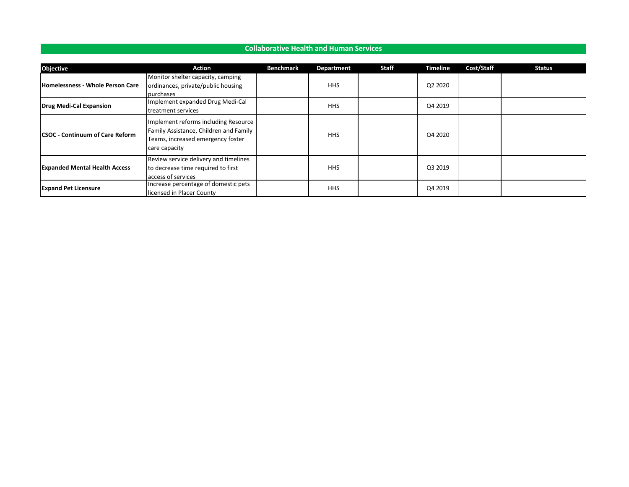### **Collaborative Health and Human Services**

| <b>Objective</b>                        | <b>Action</b>                                                                                                                        | <b>Benchmark</b> | Department | Staff | <b>Timeline</b> | Cost/Staff | <b>Status</b> |
|-----------------------------------------|--------------------------------------------------------------------------------------------------------------------------------------|------------------|------------|-------|-----------------|------------|---------------|
| <b>Homelessness - Whole Person Care</b> | Monitor shelter capacity, camping<br>ordinances, private/public housing<br>purchases                                                 |                  | <b>HHS</b> |       | Q2 2020         |            |               |
| <b>Drug Medi-Cal Expansion</b>          | Implement expanded Drug Medi-Cal<br>treatment services                                                                               |                  | <b>HHS</b> |       | Q4 2019         |            |               |
| <b>CSOC - Continuum of Care Reform</b>  | Implement reforms including Resource<br>Family Assistance, Children and Family<br>Teams, increased emergency foster<br>care capacity |                  | <b>HHS</b> |       | Q4 2020         |            |               |
| <b>Expanded Mental Health Access</b>    | Review service delivery and timelines<br>to decrease time required to first<br>access of services                                    |                  | <b>HHS</b> |       | Q3 2019         |            |               |
| <b>Expand Pet Licensure</b>             | Increase percentage of domestic pets<br>licensed in Placer County                                                                    |                  | <b>HHS</b> |       | Q4 2019         |            |               |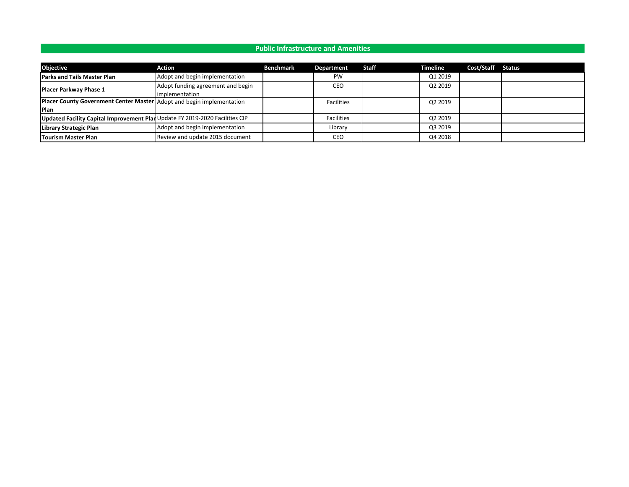#### **Public Infrastructure and Amenities**

| <b>Objective</b>                                                            | Action                            | <b>Benchmark</b> | Department        | Staff | Timeline | Cost/Staff Status |  |
|-----------------------------------------------------------------------------|-----------------------------------|------------------|-------------------|-------|----------|-------------------|--|
| <b>Parks and Tails Master Plan</b>                                          | Adopt and begin implementation    |                  | <b>PW</b>         |       | Q1 2019  |                   |  |
| <b>Placer Parkway Phase 1</b>                                               | Adopt funding agreement and begin |                  | CEO               |       | Q2 2019  |                   |  |
|                                                                             | implementation                    |                  |                   |       |          |                   |  |
| Placer County Government Center Master Adopt and begin implementation       |                                   |                  | <b>Facilities</b> |       | Q2 2019  |                   |  |
| <b>Plan</b>                                                                 |                                   |                  |                   |       |          |                   |  |
| Updated Facility Capital Improvement PlanUpdate FY 2019-2020 Facilities CIP |                                   |                  | <b>Facilities</b> |       | Q2 2019  |                   |  |
| Library Strategic Plan                                                      | Adopt and begin implementation    |                  | Library           |       | Q3 2019  |                   |  |
| Tourism Master Plan                                                         | Review and update 2015 document   |                  | CEO               |       | Q4 2018  |                   |  |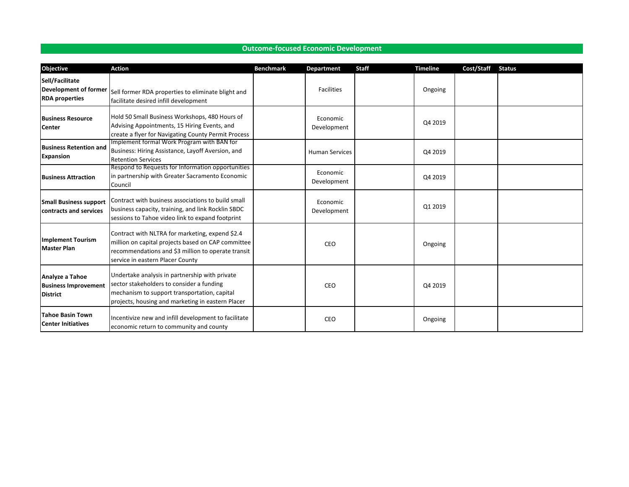| Objective                                                                | <b>Action</b>                                                                                                                                                                                    | <b>Benchmark</b> | <b>Department</b>       | <b>Staff</b> | <b>Timeline</b> | Cost/Staff | <b>Status</b> |
|--------------------------------------------------------------------------|--------------------------------------------------------------------------------------------------------------------------------------------------------------------------------------------------|------------------|-------------------------|--------------|-----------------|------------|---------------|
| Sell/Facilitate<br><b>Development of former</b><br><b>RDA</b> properties | Sell former RDA properties to eliminate blight and<br>facilitate desired infill development                                                                                                      |                  | <b>Facilities</b>       |              | Ongoing         |            |               |
| <b>Business Resource</b><br><b>Center</b>                                | Hold 50 Small Business Workshops, 480 Hours of<br>Advising Appointments, 15 Hiring Events, and<br>create a flyer for Navigating County Permit Process                                            |                  | Economic<br>Development |              | Q4 2019         |            |               |
| <b>Business Retention and</b><br><b>Expansion</b>                        | Implement formal Work Program with BAN for<br>Business: Hiring Assistance, Layoff Aversion, and<br><b>Retention Services</b>                                                                     |                  | <b>Human Services</b>   |              | Q4 2019         |            |               |
| <b>Business Attraction</b>                                               | Respond to Requests for Information opportunities<br>in partnership with Greater Sacramento Economic<br>Council                                                                                  |                  | Economic<br>Development |              | Q4 2019         |            |               |
| <b>Small Business support</b><br><b>contracts and services</b>           | Contract with business associations to build small<br>business capacity, training, and link Rocklin SBDC<br>sessions to Tahoe video link to expand footprint                                     |                  | Economic<br>Development |              | Q1 2019         |            |               |
| <b>Implement Tourism</b><br><b>Master Plan</b>                           | Contract with NLTRA for marketing, expend \$2.4<br>million on capital projects based on CAP committee<br>recommendations and \$3 million to operate transit<br>service in eastern Placer County  |                  | CEO                     |              | Ongoing         |            |               |
| Analyze a Tahoe<br><b>Business Improvement</b><br><b>District</b>        | Undertake analysis in partnership with private<br>sector stakeholders to consider a funding<br>mechanism to support transportation, capital<br>projects, housing and marketing in eastern Placer |                  | CEO                     |              | Q4 2019         |            |               |
| <b>Tahoe Basin Town</b><br><b>Center Initiatives</b>                     | Incentivize new and infill development to facilitate<br>economic return to community and county                                                                                                  |                  | CEO                     |              | Ongoing         |            |               |

### **Outcome-focused Economic Development**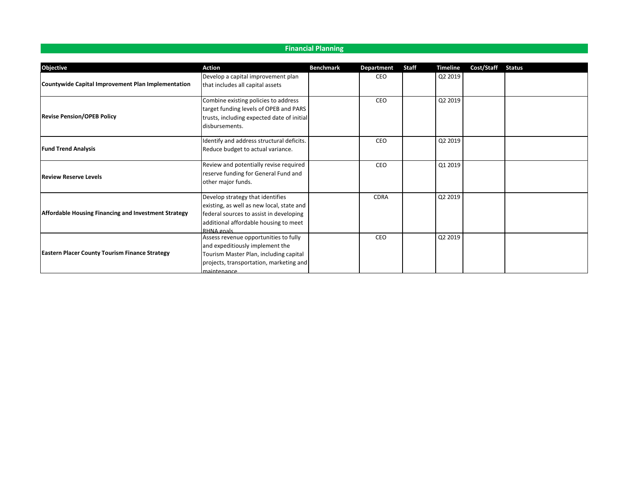## **Financial Planning**

| <b>Objective</b>                                          | <b>Action</b>                                                          | <b>Benchmark</b> | <b>Department</b> | <b>Staff</b> | <b>Timeline</b> | Cost/Staff | <b>Status</b> |
|-----------------------------------------------------------|------------------------------------------------------------------------|------------------|-------------------|--------------|-----------------|------------|---------------|
| <b>Countywide Capital Improvement Plan Implementation</b> | Develop a capital improvement plan<br>that includes all capital assets |                  | CEO               |              | Q2 2019         |            |               |
|                                                           |                                                                        |                  |                   |              |                 |            |               |
|                                                           | Combine existing policies to address                                   |                  | CEO               |              | Q2 2019         |            |               |
|                                                           | target funding levels of OPEB and PARS                                 |                  |                   |              |                 |            |               |
| <b>Revise Pension/OPEB Policy</b>                         | trusts, including expected date of initial                             |                  |                   |              |                 |            |               |
|                                                           | disbursements.                                                         |                  |                   |              |                 |            |               |
|                                                           | Identify and address structural deficits.                              |                  | CEO               |              | Q2 2019         |            |               |
| <b>Fund Trend Analysis</b>                                | Reduce budget to actual variance.                                      |                  |                   |              |                 |            |               |
|                                                           | Review and potentially revise required                                 |                  | CEO               |              | Q1 2019         |            |               |
| <b>Review Reserve Levels</b>                              | reserve funding for General Fund and                                   |                  |                   |              |                 |            |               |
|                                                           | other major funds.                                                     |                  |                   |              |                 |            |               |
|                                                           | Develop strategy that identifies                                       |                  | <b>CDRA</b>       |              | Q2 2019         |            |               |
|                                                           | existing, as well as new local, state and                              |                  |                   |              |                 |            |               |
| Affordable Housing Financing and Investment Strategy      | federal sources to assist in developing                                |                  |                   |              |                 |            |               |
|                                                           | additional affordable housing to meet                                  |                  |                   |              |                 |            |               |
|                                                           | RHNA goals                                                             |                  |                   |              |                 |            |               |
|                                                           | Assess revenue opportunities to fully                                  |                  | CEO               |              | Q2 2019         |            |               |
|                                                           | and expeditiously implement the                                        |                  |                   |              |                 |            |               |
| <b>Eastern Placer County Tourism Finance Strategy</b>     | Tourism Master Plan, including capital                                 |                  |                   |              |                 |            |               |
|                                                           | projects, transportation, marketing and                                |                  |                   |              |                 |            |               |
|                                                           | maintenance                                                            |                  |                   |              |                 |            |               |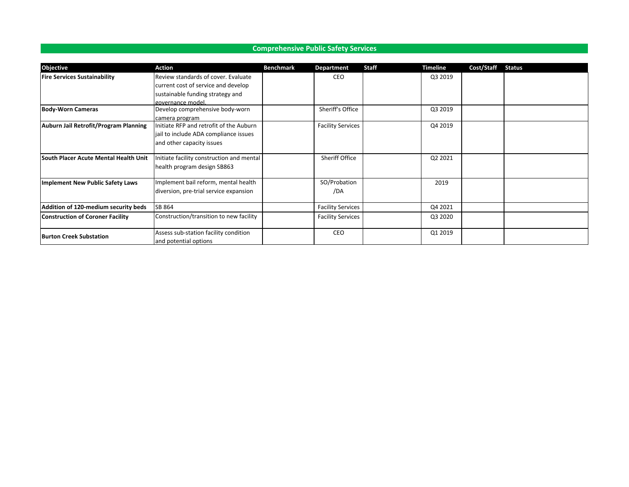# **Comprehensive Public Safety Services**

| <b>Objective</b>                             | <b>Action</b>                             | <b>Benchmark</b> | Department               | Staff | <b>Timeline</b> | Cost/Staff | <b>Status</b> |
|----------------------------------------------|-------------------------------------------|------------------|--------------------------|-------|-----------------|------------|---------------|
| <b>Fire Services Sustainability</b>          | Review standards of cover. Evaluate       |                  | CEO                      |       | Q3 2019         |            |               |
|                                              | current cost of service and develop       |                  |                          |       |                 |            |               |
|                                              | sustainable funding strategy and          |                  |                          |       |                 |            |               |
|                                              | governance model.                         |                  |                          |       |                 |            |               |
| <b>Body-Worn Cameras</b>                     | Develop comprehensive body-worn           |                  | Sheriff's Office         |       | Q3 2019         |            |               |
|                                              | camera program                            |                  |                          |       |                 |            |               |
| Auburn Jail Retrofit/Program Planning        | Initiate RFP and retrofit of the Auburn   |                  | <b>Facility Services</b> |       | Q4 2019         |            |               |
|                                              | jail to include ADA compliance issues     |                  |                          |       |                 |            |               |
|                                              | and other capacity issues                 |                  |                          |       |                 |            |               |
| <b>South Placer Acute Mental Health Unit</b> | Initiate facility construction and mental |                  | Sheriff Office           |       | Q2 2021         |            |               |
|                                              | health program design SB863               |                  |                          |       |                 |            |               |
| Implement New Public Safety Laws             | Implement bail reform, mental health      |                  | SO/Probation             |       | 2019            |            |               |
|                                              | diversion, pre-trial service expansion    |                  | /DA                      |       |                 |            |               |
| Addition of 120-medium security beds         | SB 864                                    |                  | <b>Facility Services</b> |       | Q4 2021         |            |               |
| <b>Construction of Coroner Facility</b>      | Construction/transition to new facility   |                  | <b>Facility Services</b> |       | Q3 2020         |            |               |
| <b>Burton Creek Substation</b>               | Assess sub-station facility condition     |                  | CEO                      |       | Q1 2019         |            |               |
|                                              | and potential options                     |                  |                          |       |                 |            |               |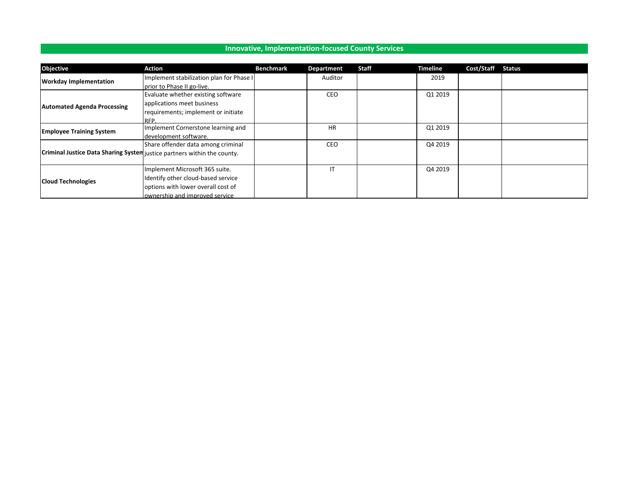| <b>Objective</b>                                                         | Action                                   | <b>Benchmark</b> | <b>Department</b> | Staff | <b>Timeline</b>                          | Cost/Staff | <b>Status</b> |
|--------------------------------------------------------------------------|------------------------------------------|------------------|-------------------|-------|------------------------------------------|------------|---------------|
|                                                                          | Implement stabilization plan for Phase I |                  | Auditor           |       | 2019                                     |            |               |
| <b>Workday Implementation</b>                                            | prior to Phase II go-live.               |                  |                   |       | Q1 2019<br>Q1 2019<br>Q4 2019<br>Q4 2019 |            |               |
|                                                                          | Evaluate whether existing software       |                  | CEO               |       |                                          |            |               |
| <b>Automated Agenda Processing</b>                                       | applications meet business               |                  |                   |       |                                          |            |               |
|                                                                          | requirements; implement or initiate      |                  |                   |       |                                          |            |               |
|                                                                          | <b>RFP</b>                               |                  |                   |       |                                          |            |               |
| <b>Employee Training System</b>                                          | Implement Cornerstone learning and       |                  | <b>HR</b>         |       |                                          |            |               |
|                                                                          | development software.                    |                  |                   |       |                                          |            |               |
|                                                                          | Share offender data among criminal       |                  | CEO               |       |                                          |            |               |
| Criminal Justice Data Sharing System justice partners within the county. |                                          |                  |                   |       |                                          |            |               |
|                                                                          |                                          |                  |                   |       |                                          |            |               |
|                                                                          | Implement Microsoft 365 suite.           |                  | IT                |       |                                          |            |               |
| <b>Cloud Technologies</b>                                                | Identify other cloud-based service       |                  |                   |       |                                          |            |               |
|                                                                          | options with lower overall cost of       |                  |                   |       |                                          |            |               |
|                                                                          | ownership and improved service.          |                  |                   |       |                                          |            |               |

**Innovative, Implementation-focused County Services**